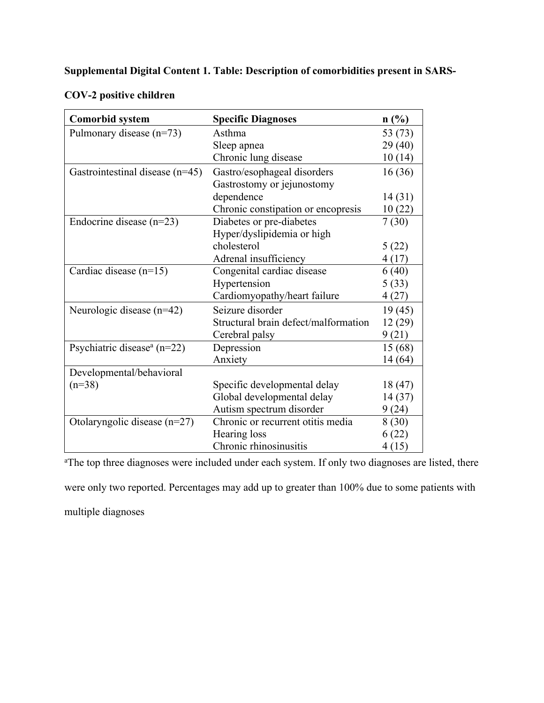## **Supplemental Digital Content 1. Table: Description of comorbidities present in SARS-**

| COV-2 positive children |
|-------------------------|
|-------------------------|

| <b>Comorbid system</b>                      | <b>Specific Diagnoses</b>            | $n\left(\frac{0}{0}\right)$ |
|---------------------------------------------|--------------------------------------|-----------------------------|
| Pulmonary disease $(n=73)$                  | Asthma                               | 53 (73)                     |
|                                             | Sleep apnea                          | 29(40)                      |
|                                             | Chronic lung disease                 | 10(14)                      |
| Gastrointestinal disease $(n=45)$           | Gastro/esophageal disorders          | 16(36)                      |
|                                             | Gastrostomy or jejunostomy           |                             |
|                                             | dependence                           | 14(31)                      |
|                                             | Chronic constipation or encopresis   | 10(22)                      |
| Endocrine disease $(n=23)$                  | Diabetes or pre-diabetes             | 7(30)                       |
|                                             | Hyper/dyslipidemia or high           |                             |
|                                             | cholesterol                          | 5(22)                       |
|                                             | Adrenal insufficiency                | 4(17)                       |
| Cardiac disease $(n=15)$                    | Congenital cardiac disease           | 6(40)                       |
|                                             | Hypertension                         | 5(33)                       |
|                                             | Cardiomyopathy/heart failure         | 4(27)                       |
| Neurologic disease $(n=42)$                 | Seizure disorder                     | 19(45)                      |
|                                             | Structural brain defect/malformation | 12 (29)                     |
|                                             | Cerebral palsy                       | 9(21)                       |
| Psychiatric disease <sup>a</sup> ( $n=22$ ) | Depression                           | 15 (68)                     |
|                                             | Anxiety                              | 14 (64)                     |
| Developmental/behavioral                    |                                      |                             |
| $(n=38)$                                    | Specific developmental delay         | 18 (47)                     |
|                                             | Global developmental delay           | 14 (37)                     |
|                                             | Autism spectrum disorder             | 9(24)                       |
| Otolaryngolic disease $(n=27)$              | Chronic or recurrent otitis media    | 8 (30)                      |
|                                             | Hearing loss                         | 6(22)                       |
|                                             | Chronic rhinosinusitis               | 4(15)                       |

<sup>a</sup>The top three diagnoses were included under each system. If only two diagnoses are listed, there

were only two reported. Percentages may add up to greater than 100% due to some patients with multiple diagnoses